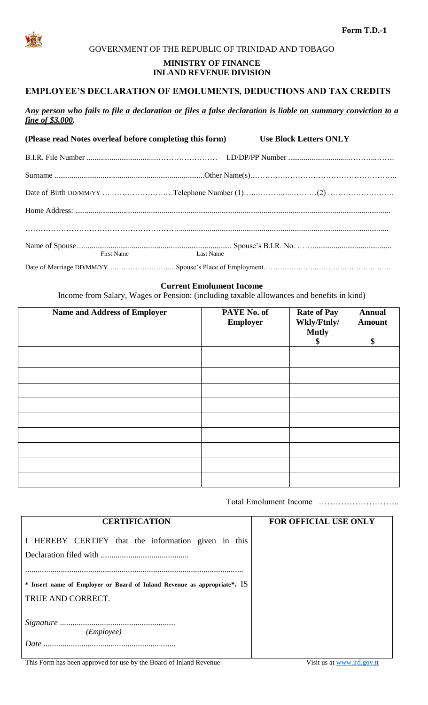



# GOVERNMENT OF THE REPUBLIC OF TRINIDAD AND TOBAGO **MINISTRY OF FINANCE INLAND REVENUE DIVISION**

# **EMPLOYEE'S DECLARATION OF EMOLUMENTS, DEDUCTIONS AND TAX CREDITS**

## *Any person who fails to file a declaration or files a false declaration is liable on summary conviction to a fine of \$3,000.*

| (Please read Notes overleaf before completing this form) |           | <b>Use Block Letters ONLY</b> |
|----------------------------------------------------------|-----------|-------------------------------|
|                                                          |           |                               |
|                                                          |           |                               |
|                                                          |           |                               |
|                                                          |           |                               |
|                                                          |           |                               |
|                                                          |           |                               |
| First Name                                               | Last Name |                               |
|                                                          |           |                               |

## **Current Emolument Income**

Income from Salary, Wages or Pension: (including taxable allowances and benefits in kind)

| <b>Name and Address of Employer</b> | PAYE No. of<br><b>Employer</b> | <b>Rate of Pay</b><br>Wkly/Ftnly/<br><b>Mntly</b><br>\$ | <b>Annual</b><br><b>Amount</b><br>\$ |
|-------------------------------------|--------------------------------|---------------------------------------------------------|--------------------------------------|
|                                     |                                |                                                         |                                      |
|                                     |                                |                                                         |                                      |
|                                     |                                |                                                         |                                      |
|                                     |                                |                                                         |                                      |
|                                     |                                |                                                         |                                      |
|                                     |                                |                                                         |                                      |
|                                     |                                |                                                         |                                      |
|                                     |                                |                                                         |                                      |
|                                     |                                |                                                         |                                      |

Total Emolument Income ………………………..

| <b>CERTIFICATION</b>                                                     | <b>FOR OFFICIAL USE ONLY</b> |
|--------------------------------------------------------------------------|------------------------------|
| I HEREBY CERTIFY that the information given in this                      |                              |
|                                                                          |                              |
|                                                                          |                              |
| * Insert name of Employer or Board of Inland Revenue as appropriate*. IS |                              |
| TRUE AND CORRECT.                                                        |                              |
|                                                                          |                              |
|                                                                          |                              |
| (Employee)                                                               |                              |
| Date                                                                     |                              |
|                                                                          |                              |

This Form has been approved for use by the Board of Inland Revenue Visit us at [www.ird.gov.tt](http://www.ird.gov.tt/)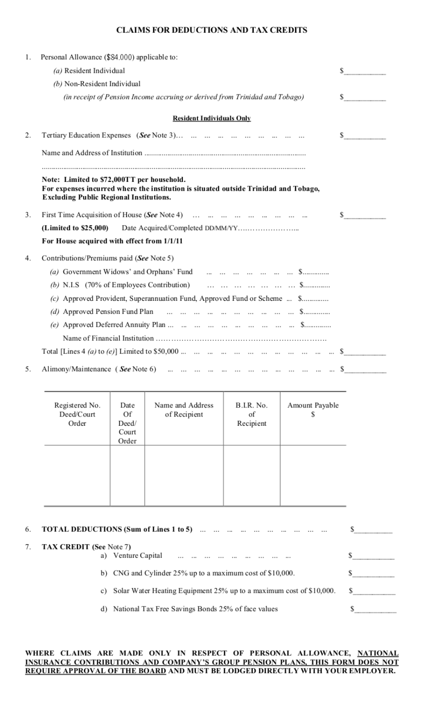## **CLAIMS FOR DEDUCTIONS AND TAX CREDITS**

| 1. | Personal Allowance (\$84.000) applicable to:                                                                                                                                         |                                                                                                                                                                                                                                |
|----|--------------------------------------------------------------------------------------------------------------------------------------------------------------------------------------|--------------------------------------------------------------------------------------------------------------------------------------------------------------------------------------------------------------------------------|
|    | (a) Resident Individual                                                                                                                                                              | \$                                                                                                                                                                                                                             |
|    | (b) Non-Resident Individual                                                                                                                                                          |                                                                                                                                                                                                                                |
|    | (in receipt of Pension Income accruing or derived from Trinidad and Tobago)                                                                                                          | $\sim$                                                                                                                                                                                                                         |
|    | <b>Resident Individuals Only</b>                                                                                                                                                     |                                                                                                                                                                                                                                |
| 2. |                                                                                                                                                                                      | S and the set of the set of the set of the set of the set of the set of the set of the set of the set of the set of the set of the set of the set of the set of the set of the set of the set of the set of the set of the set |
|    |                                                                                                                                                                                      |                                                                                                                                                                                                                                |
|    | Note: Limited to \$72,000TT per household.<br>For expenses incurred where the institution is situated outside Trinidad and Tobago,<br><b>Excluding Public Regional Institutions.</b> |                                                                                                                                                                                                                                |
| 3. |                                                                                                                                                                                      | S.                                                                                                                                                                                                                             |
|    | (Limited to \$25,000)                                                                                                                                                                |                                                                                                                                                                                                                                |
|    | For House acquired with effect from 1/1/11                                                                                                                                           |                                                                                                                                                                                                                                |
| 4. | Contributions/Premiums paid (See Note 5)                                                                                                                                             |                                                                                                                                                                                                                                |
|    | (a) Government Widows' and Orphans' Fund $\ldots$ $\ldots$ $\ldots$ $\ldots$ $\ldots$ $\ldots$ $\ldots$ \$                                                                           |                                                                                                                                                                                                                                |
|    | (b) N.I.S (70% of Employees Contribution) $\ldots$ \$                                                                                                                                |                                                                                                                                                                                                                                |
|    | (c) Approved Provident, Superannuation Fund, Approved Fund or Scheme  \$                                                                                                             |                                                                                                                                                                                                                                |
|    |                                                                                                                                                                                      |                                                                                                                                                                                                                                |
|    |                                                                                                                                                                                      |                                                                                                                                                                                                                                |
|    |                                                                                                                                                                                      |                                                                                                                                                                                                                                |
|    |                                                                                                                                                                                      |                                                                                                                                                                                                                                |
| 5. | Alimony/Maintenance (See Note 6)<br>المستحدث المتعادل المتعاد المتعادل والمتحدث المتعادل المتحدث المتحدث                                                                             | \$                                                                                                                                                                                                                             |

| Registered No.<br>Deed/Court<br>Order | Date<br>Of<br>Deed/<br>Court<br>Order | Name and Address<br>of Recipient | B.I.R. No.<br>of<br>Recipient | Amount Payable<br>S |
|---------------------------------------|---------------------------------------|----------------------------------|-------------------------------|---------------------|
|                                       |                                       |                                  |                               |                     |

| <b>TAX CREDIT (See Note 7)</b><br>a) Venture Capital                   |    |
|------------------------------------------------------------------------|----|
| b) CNG and Cylinder 25% up to a maximum cost of \$10,000.              |    |
| c) Solar Water Heating Equipment 25% up to a maximum cost of \$10,000. | -S |
| d) National Tax Free Savings Bonds 25% of face values                  |    |
|                                                                        |    |